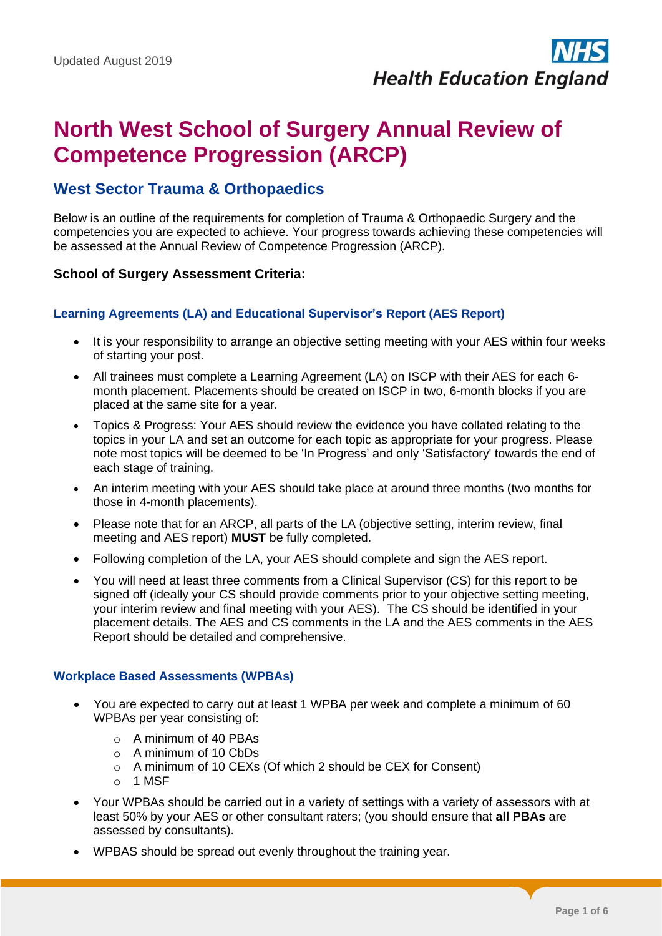# **North West School of Surgery Annual Review of Competence Progression (ARCP)**

# **West Sector Trauma & Orthopaedics**

Below is an outline of the requirements for completion of Trauma & Orthopaedic Surgery and the competencies you are expected to achieve. Your progress towards achieving these competencies will be assessed at the Annual Review of Competence Progression (ARCP).

# **School of Surgery Assessment Criteria:**

#### **Learning Agreements (LA) and Educational Supervisor's Report (AES Report)**

- It is your responsibility to arrange an objective setting meeting with your AES within four weeks of starting your post.
- All trainees must complete a Learning Agreement (LA) on ISCP with their AES for each 6 month placement. Placements should be created on ISCP in two, 6-month blocks if you are placed at the same site for a year.
- Topics & Progress: Your AES should review the evidence you have collated relating to the topics in your LA and set an outcome for each topic as appropriate for your progress. Please note most topics will be deemed to be 'In Progress' and only 'Satisfactory' towards the end of each stage of training.
- An interim meeting with your AES should take place at around three months (two months for those in 4-month placements).
- Please note that for an ARCP, all parts of the LA (objective setting, interim review, final meeting and AES report) **MUST** be fully completed.
- Following completion of the LA, your AES should complete and sign the AES report.
- You will need at least three comments from a Clinical Supervisor (CS) for this report to be signed off (ideally your CS should provide comments prior to your objective setting meeting, your interim review and final meeting with your AES). The CS should be identified in your placement details. The AES and CS comments in the LA and the AES comments in the AES Report should be detailed and comprehensive.

#### **Workplace Based Assessments (WPBAs)**

- You are expected to carry out at least 1 WPBA per week and complete a minimum of 60 WPBAs per year consisting of:
	- o A minimum of 40 PBAs
	- $\circ$  A minimum of 10 CbDs
	- o A minimum of 10 CEXs (Of which 2 should be CEX for Consent)
	- $\circ$  1 MSF
- Your WPBAs should be carried out in a variety of settings with a variety of assessors with at least 50% by your AES or other consultant raters; (you should ensure that **all PBAs** are assessed by consultants).
- WPBAS should be spread out evenly throughout the training year.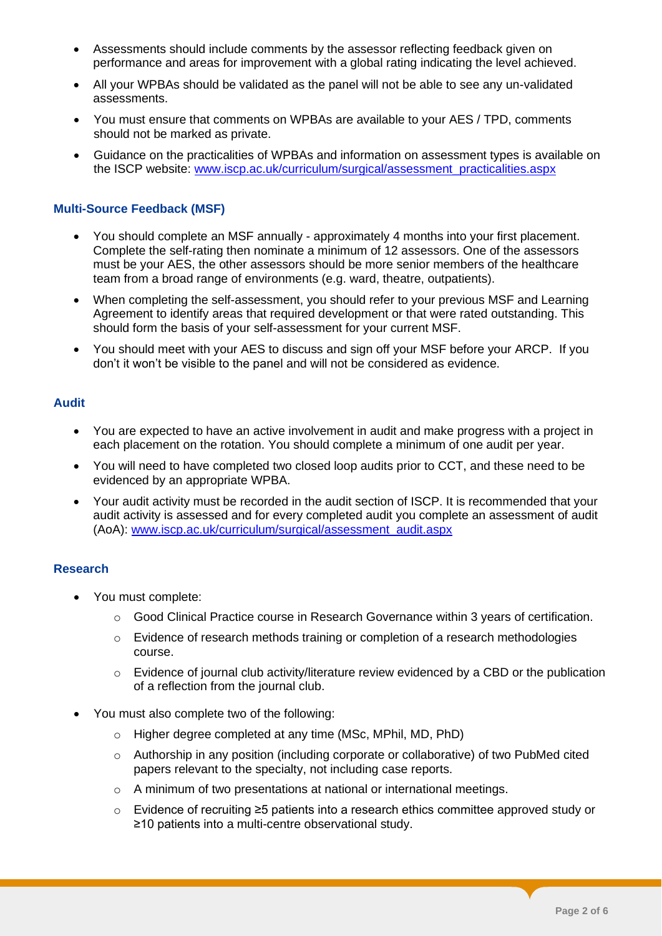- Assessments should include comments by the assessor reflecting feedback given on performance and areas for improvement with a global rating indicating the level achieved.
- All your WPBAs should be validated as the panel will not be able to see any un-validated assessments.
- You must ensure that comments on WPBAs are available to your AES / TPD, comments should not be marked as private.
- Guidance on the practicalities of WPBAs and information on assessment types is available on the ISCP website: [www.iscp.ac.uk/curriculum/surgical/assessment\\_practicalities.aspx](http://www.iscp.ac.uk/curriculum/surgical/assessment_practicalities.aspx)

## **Multi-Source Feedback (MSF)**

- You should complete an MSF annually approximately 4 months into your first placement. Complete the self-rating then nominate a minimum of 12 assessors. One of the assessors must be your AES, the other assessors should be more senior members of the healthcare team from a broad range of environments (e.g. ward, theatre, outpatients).
- When completing the self-assessment, you should refer to your previous MSF and Learning Agreement to identify areas that required development or that were rated outstanding. This should form the basis of your self-assessment for your current MSF.
- You should meet with your AES to discuss and sign off your MSF before your ARCP. If you don't it won't be visible to the panel and will not be considered as evidence.

#### **Audit**

- You are expected to have an active involvement in audit and make progress with a project in each placement on the rotation. You should complete a minimum of one audit per year.
- You will need to have completed two closed loop audits prior to CCT, and these need to be evidenced by an appropriate WPBA.
- Your audit activity must be recorded in the audit section of ISCP. It is recommended that your audit activity is assessed and for every completed audit you complete an assessment of audit (AoA): [www.iscp.ac.uk/curriculum/surgical/assessment\\_audit.aspx](http://www.iscp.ac.uk/curriculum/surgical/assessment_audit.aspx)

#### **Research**

- You must complete:
	- o Good Clinical Practice course in Research Governance within 3 years of certification.
	- o Evidence of research methods training or completion of a research methodologies course.
	- o Evidence of journal club activity/literature review evidenced by a CBD or the publication of a reflection from the journal club.
- You must also complete two of the following:
	- o Higher degree completed at any time (MSc, MPhil, MD, PhD)
	- $\circ$  Authorship in any position (including corporate or collaborative) of two PubMed cited papers relevant to the specialty, not including case reports.
	- o A minimum of two presentations at national or international meetings.
	- o Evidence of recruiting ≥5 patients into a research ethics committee approved study or ≥10 patients into a multi-centre observational study.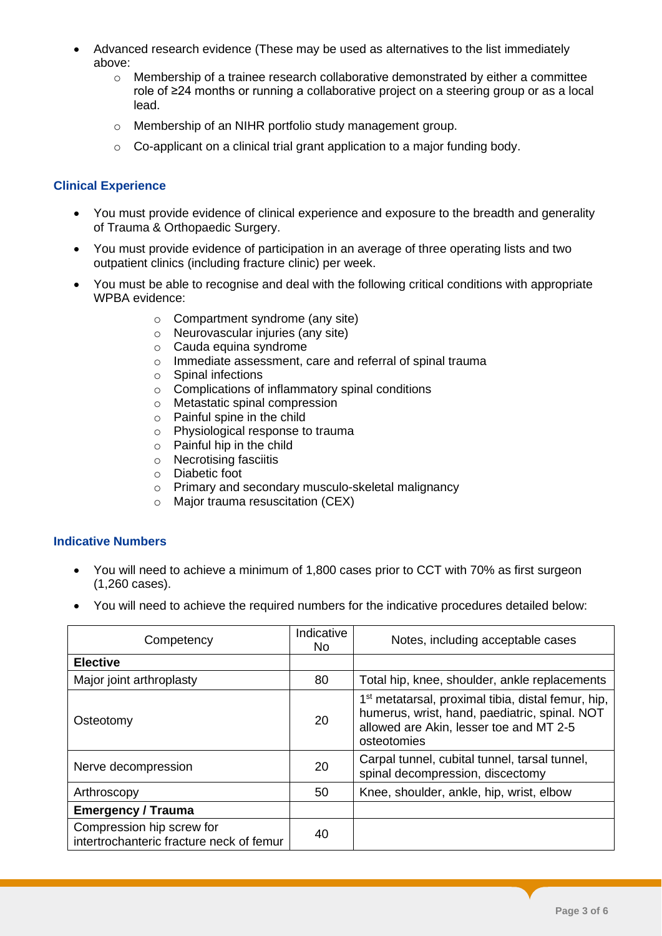- Advanced research evidence (These may be used as alternatives to the list immediately above:
	- $\circ$  Membership of a trainee research collaborative demonstrated by either a committee role of ≥24 months or running a collaborative project on a steering group or as a local lead.
	- o Membership of an NIHR portfolio study management group.
	- $\circ$  Co-applicant on a clinical trial grant application to a major funding body.

#### **Clinical Experience**

- You must provide evidence of clinical experience and exposure to the breadth and generality of Trauma & Orthopaedic Surgery.
- You must provide evidence of participation in an average of three operating lists and two outpatient clinics (including fracture clinic) per week.
- You must be able to recognise and deal with the following critical conditions with appropriate WPBA evidence:
	- o Compartment syndrome (any site)
	- o Neurovascular injuries (any site)
	- o Cauda equina syndrome
	- o Immediate assessment, care and referral of spinal trauma
	- o Spinal infections
	- o Complications of inflammatory spinal conditions
	- o Metastatic spinal compression
	- o Painful spine in the child
	- o Physiological response to trauma
	- $\circ$  Painful hip in the child
	- $\circ$  Necrotising fasciitis
	- o Diabetic foot
	- o Primary and secondary musculo-skeletal malignancy
	- o Major trauma resuscitation (CEX)

#### **Indicative Numbers**

- You will need to achieve a minimum of 1,800 cases prior to CCT with 70% as first surgeon (1,260 cases).
- You will need to achieve the required numbers for the indicative procedures detailed below:

| Competency                                                            | Indicative<br>No. | Notes, including acceptable cases                                                                                                                                         |
|-----------------------------------------------------------------------|-------------------|---------------------------------------------------------------------------------------------------------------------------------------------------------------------------|
| <b>Elective</b>                                                       |                   |                                                                                                                                                                           |
| Major joint arthroplasty                                              | 80                | Total hip, knee, shoulder, ankle replacements                                                                                                                             |
| Osteotomy                                                             | 20                | 1 <sup>st</sup> metatarsal, proximal tibia, distal femur, hip,<br>humerus, wrist, hand, paediatric, spinal. NOT<br>allowed are Akin, lesser toe and MT 2-5<br>osteotomies |
| Nerve decompression                                                   | 20                | Carpal tunnel, cubital tunnel, tarsal tunnel,<br>spinal decompression, discectomy                                                                                         |
| Arthroscopy                                                           | 50                | Knee, shoulder, ankle, hip, wrist, elbow                                                                                                                                  |
| <b>Emergency / Trauma</b>                                             |                   |                                                                                                                                                                           |
| Compression hip screw for<br>intertrochanteric fracture neck of femur | 40                |                                                                                                                                                                           |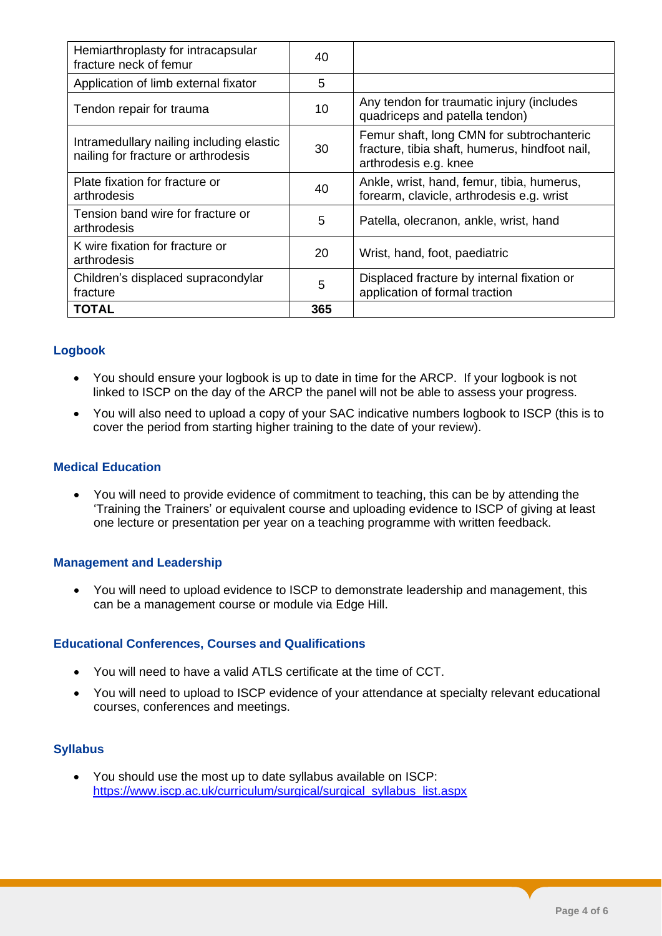| Hemiarthroplasty for intracapsular<br>fracture neck of femur                    | 40  |                                                                                                                      |
|---------------------------------------------------------------------------------|-----|----------------------------------------------------------------------------------------------------------------------|
| Application of limb external fixator                                            | 5   |                                                                                                                      |
| Tendon repair for trauma                                                        | 10  | Any tendon for traumatic injury (includes<br>quadriceps and patella tendon)                                          |
| Intramedullary nailing including elastic<br>nailing for fracture or arthrodesis | 30  | Femur shaft, long CMN for subtrochanteric<br>fracture, tibia shaft, humerus, hindfoot nail,<br>arthrodesis e.g. knee |
| Plate fixation for fracture or<br>arthrodesis                                   | 40  | Ankle, wrist, hand, femur, tibia, humerus,<br>forearm, clavicle, arthrodesis e.g. wrist                              |
| Tension band wire for fracture or<br>arthrodesis                                | 5   | Patella, olecranon, ankle, wrist, hand                                                                               |
| K wire fixation for fracture or<br>arthrodesis                                  | 20  | Wrist, hand, foot, paediatric                                                                                        |
| Children's displaced supracondylar<br>fracture                                  | 5   | Displaced fracture by internal fixation or<br>application of formal traction                                         |
| <b>TOTAL</b>                                                                    | 365 |                                                                                                                      |

## **Logbook**

- You should ensure your logbook is up to date in time for the ARCP.If your logbook is not linked to ISCP on the day of the ARCP the panel will not be able to assess your progress.
- You will also need to upload a copy of your SAC indicative numbers logbook to ISCP (this is to cover the period from starting higher training to the date of your review).

#### **Medical Education**

• You will need to provide evidence of commitment to teaching, this can be by attending the 'Training the Trainers' or equivalent course and uploading evidence to ISCP of giving at least one lecture or presentation per year on a teaching programme with written feedback.

#### **Management and Leadership**

• You will need to upload evidence to ISCP to demonstrate leadership and management, this can be a management course or module via Edge Hill.

#### **Educational Conferences, Courses and Qualifications**

- You will need to have a valid ATLS certificate at the time of CCT.
- You will need to upload to ISCP evidence of your attendance at specialty relevant educational courses, conferences and meetings.

# **Syllabus**

• You should use the most up to date syllabus available on ISCP: [https://www.iscp.ac.uk/curriculum/surgical/surgical\\_syllabus\\_list.aspx](https://www.iscp.ac.uk/curriculum/surgical/surgical_syllabus_list.aspx)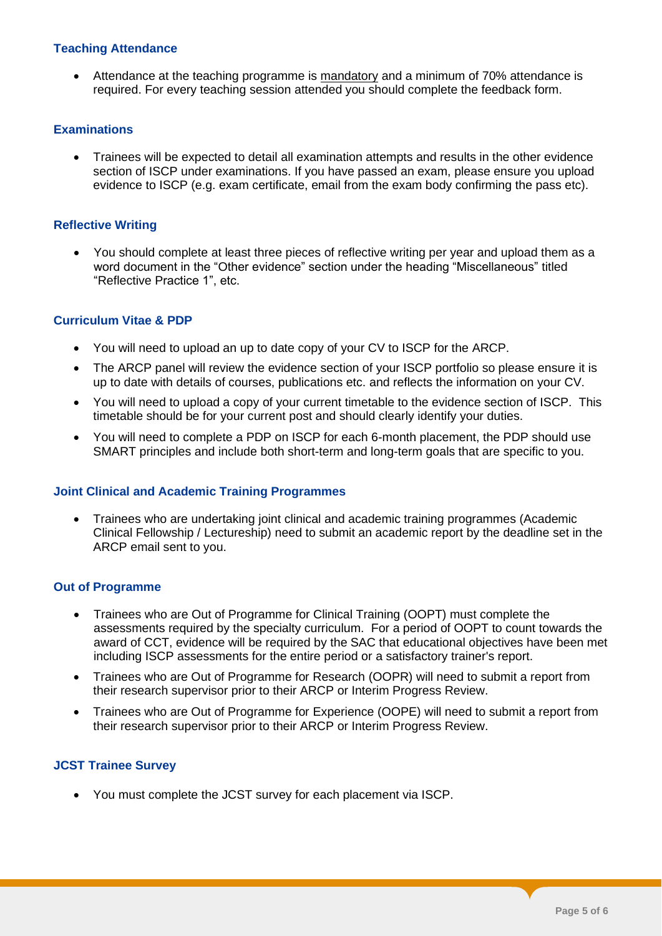#### **Teaching Attendance**

• Attendance at the teaching programme is mandatory and a minimum of 70% attendance is required. For every teaching session attended you should complete the feedback form.

#### **Examinations**

• Trainees will be expected to detail all examination attempts and results in the other evidence section of ISCP under examinations. If you have passed an exam, please ensure you upload evidence to ISCP (e.g. exam certificate, email from the exam body confirming the pass etc).

#### **Reflective Writing**

• You should complete at least three pieces of reflective writing per year and upload them as a word document in the "Other evidence" section under the heading "Miscellaneous" titled "Reflective Practice 1", etc.

#### **Curriculum Vitae & PDP**

- You will need to upload an up to date copy of your CV to ISCP for the ARCP.
- The ARCP panel will review the evidence section of your ISCP portfolio so please ensure it is up to date with details of courses, publications etc. and reflects the information on your CV.
- You will need to upload a copy of your current timetable to the evidence section of ISCP. This timetable should be for your current post and should clearly identify your duties.
- You will need to complete a PDP on ISCP for each 6-month placement, the PDP should use SMART principles and include both short-term and long-term goals that are specific to you.

#### **Joint Clinical and Academic Training Programmes**

• Trainees who are undertaking joint clinical and academic training programmes (Academic Clinical Fellowship / Lectureship) need to submit an academic report by the deadline set in the ARCP email sent to you.

#### **Out of Programme**

- Trainees who are Out of Programme for Clinical Training (OOPT) must complete the assessments required by the specialty curriculum. For a period of OOPT to count towards the award of CCT, evidence will be required by the SAC that educational objectives have been met including ISCP assessments for the entire period or a satisfactory trainer's report.
- Trainees who are Out of Programme for Research (OOPR) will need to submit a report from their research supervisor prior to their ARCP or Interim Progress Review.
- Trainees who are Out of Programme for Experience (OOPE) will need to submit a report from their research supervisor prior to their ARCP or Interim Progress Review.

#### **JCST Trainee Survey**

• You must complete the JCST survey for each placement via ISCP.